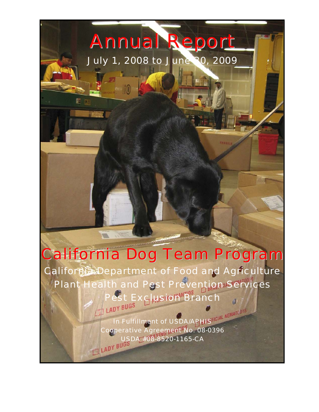# Annual Report

July 1, 2008 to June 30, 2009

## California Dog Team Program

California Department of Food and Agriculture Plant Health and Pest Prevention Services Pest Exclusion Branch

> In Fulfillment of USDA/APHIS Cooperative Agreement No. 08-0396 USDA #08-8520-1165-CA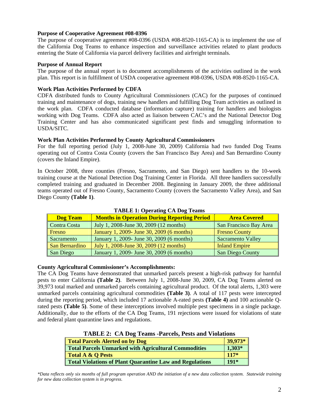#### **Purpose of Cooperative Agreement #08-0396**

The purpose of cooperative agreement #08-0396 (USDA #08-8520-1165-CA) is to implement the use of the California Dog Teams to enhance inspection and surveillance activities related to plant products entering the State of California via parcel delivery facilities and airfreight terminals.

#### **Purpose of Annual Report**

The purpose of the annual report is to document accomplishments of the activities outlined in the work plan. This report is in fulfillment of USDA cooperative agreement #08-0396, USDA #08-8520-1165-CA.

#### **Work Plan Activities Performed by CDFA**

CDFA distributed funds to County Agricultural Commissioners (CAC) for the purposes of continued training and maintenance of dogs, training new handlers and fulfilling Dog Team activities as outlined in the work plan. CDFA conducted database (information capture) training for handlers and biologists working with Dog Teams. CDFA also acted as liaison between CAC's and the National Detector Dog Training Center and has also communicated significant pest finds and smuggling information to USDA/SITC.

#### **Work Plan Activities Performed by County Agricultural Commissioners**

For the full reporting period (July 1, 2008-June 30, 2009) California had two funded Dog Teams operating out of Contra Costa County (covers the San Francisco Bay Area) and San Bernardino County (covers the Inland Empire).

In October 2008, three counties (Fresno, Sacramento, and San Diego) sent handlers to the 10-week training course at the National Detection Dog Training Center in Florida. All three handlers successfully completed training and graduated in December 2008. Beginning in January 2009, the three additional teams operated out of Fresno County, Sacramento County (covers the Sacramento Valley Area), and San Diego County **(Table 1)**.

| <b>Dog Team</b> | <b>Months in Operation During Reporting Period</b> | <b>Area Covered</b>      |
|-----------------|----------------------------------------------------|--------------------------|
| Contra Costa    | July 1, 2008-June 30, 2009 (12 months)             | San Francisco Bay Area   |
| Fresno          | January 1, 2009- June 30, 2009 (6 months)          | <b>Fresno County</b>     |
| Sacramento      | January 1, 2009- June 30, 2009 (6 months)          | <b>Sacramento Valley</b> |
| San Bernardino  | July 1, 2008-June 30, 2009 (12 months)             | <b>Inland Empire</b>     |
| San Diego       | January 1, 2009- June 30, 2009 (6 months)          | <b>San Diego County</b>  |

**TABLE 1: Operating CA Dog Teams** 

#### **County Agricultural Commissioner's Accomplishments:**

The CA Dog Teams have demonstrated that unmarked parcels present a high-risk pathway for harmful pests to enter California **(Table 2)**. Between July 1, 2008-June 30, 2009, CA Dog Teams alerted on 39,973 total marked and unmarked parcels containing agricultural product. Of the total alerts, 1,303 were unmarked parcels containing agricultural commodities **(Table 3)**. A total of 117 pests were intercepted during the reporting period, which included 17 actionable A-rated pests **(Table 4)** and 100 actionable Qrated pests **(Table 5)**. Some of these interceptions involved multiple pest specimens in a single package. Additionally, due to the efforts of the CA Dog Teams, 191 rejections were issued for violations of state and federal plant quarantine laws and regulations.

| <b>TABLE 2: CA DOG Teams -Parcels, Pests and Violations</b> |          |  |  |  |
|-------------------------------------------------------------|----------|--|--|--|
| Total Parcels Alerted on by Dog                             | 39,973*  |  |  |  |
| Total Parcels Unmarked with Agricultural Commodities        | $1,303*$ |  |  |  |
| Total A & Q Pests                                           | $117*$   |  |  |  |
| Total Violations of Plant Quarantine Law and Regulations    | $191*$   |  |  |  |

**TABLE 2: CA Dog Teams -Parcels, Pests and Violations** 

*\*Data reflects only six months of full program operation AND the initiation of a new data collection system. Statewide training for new data collection system is in progress.*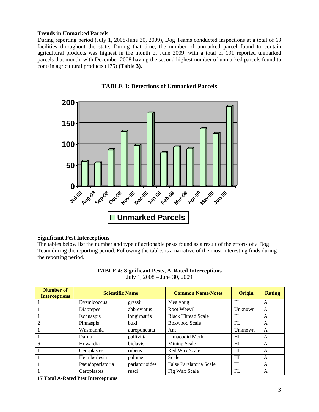#### **Trends in Unmarked Parcels**

During reporting period (July 1, 2008-June 30, 2009), Dog Teams conducted inspections at a total of 63 facilities throughout the state. During that time, the number of unmarked parcel found to contain agricultural products was highest in the month of June 2009, with a total of 191 reported unmarked parcels that month, with December 2008 having the second highest number of unmarked parcels found to contain agricultural products (175) **(Table 3).**



**TABLE 3: Detections of Unmarked Parcels** 

#### **Significant Pest Interceptions**

The tables below list the number and type of actionable pests found as a result of the efforts of a Dog Team during the reporting period. Following the tables is a narrative of the most interesting finds during the reporting period.

| Number of<br><b>Interceptions</b> | <b>Scientific Name</b> |                | <b>Common Name/Notes</b>  | <b>Origin</b> | <b>Rating</b> |
|-----------------------------------|------------------------|----------------|---------------------------|---------------|---------------|
|                                   | Dysmicoccus            | grassii        | Mealybug                  | FL.           | A             |
|                                   | Diaprepes              | abbreviatus    | Root Weevil               | Unknown       | A             |
|                                   | Ischnaspis             | longirostris   | <b>Black Thread Scale</b> | FL            | A             |
| $\mathfrak{D}$                    | Pinnaspis              | buxi           | <b>Boxwood Scale</b>      | FL            | A             |
|                                   | Wasmannia              | auropunctata   | Ant                       | Unknown       | A             |
|                                   | Darna                  | pallivitta     | Limacodid Moth            | HI            | A             |
| 6                                 | Howardia               | biclavis       | Mining Scale              | HI            | A             |
|                                   | Ceroplastes            | rubens         | Red Wax Scale             | HI            | A             |
|                                   | Hemiberlesia           | palmae         | Scale                     | HI            | A             |
|                                   | Pseudoparlatoria       | parlatorioides | False Paralatoria Scale   | FL            | A             |
|                                   | Ceroplastes            | rusci          | Fig Wax Scale             | FL            | A             |

| <b>TABLE 4: Significant Pests, A-Rated Interceptions</b> |  |  |
|----------------------------------------------------------|--|--|
|----------------------------------------------------------|--|--|

July 1, 2008 – June 30, 2009

**17 Total A-Rated Pest Interceptions**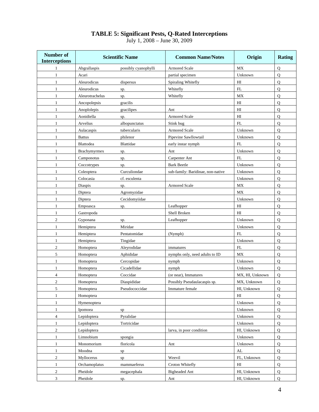#### **TABLE 5: Significant Pests, Q-Rated Interceptions**

July 1, 2008 – June 30, 2009

| <b>Number of</b><br><b>Interceptions</b> | <b>Scientific Name</b> |                      | <b>Common Name/Notes</b>          | Origin                          | <b>Rating</b>  |
|------------------------------------------|------------------------|----------------------|-----------------------------------|---------------------------------|----------------|
| 1                                        | Abgrallaspis           | possibly cyanophylli | <b>Armored Scale</b>              | MX                              | $\mathbf Q$    |
| $\mathbf{1}$                             | Acari                  |                      | partial specimen                  | Unknown                         | Q              |
| $\mathbf{1}$                             | Aleurodicus            | dispersus            | Spiraling Whitefly                | HI                              | $\mathbf Q$    |
| $\mathbf{1}$                             | Aleurodicus            | sp.                  | Whitefly                          | FL                              | Q              |
| 1                                        | Aleurotrachelus        | sp.                  | Whitefly                          | MX                              | $\mathbf Q$    |
| $\mathbf{1}$                             | Ancopolepsis           | gracilis             |                                   | H <sub>I</sub>                  | $\mathbf Q$    |
| $\mathbf{1}$                             | Anoplolepis            | gracilipes           | Ant                               | HI                              | Q              |
| $\mathbf{1}$                             | Aonidiella             | sp.                  | <b>Armored Scale</b>              | H <sub>I</sub>                  | Q              |
| $\mathbf{1}$                             | Arvelius               | albopunctatus        | Stink bug                         | FL                              | Q              |
| $\mathbf{1}$                             | Aulacaspis             | tubercularis         | <b>Armored Scale</b>              | Unknown                         | Q              |
| 1                                        | <b>Battus</b>          | philenor             | Pipevine Sawllowtail              | Unknown                         | Q              |
| 1                                        | Blattodea              | Blattidae            | early instar nymph                | FL                              | Q              |
| $\mathbf{1}$                             | Brachymyrmex           | sp.                  | Ant                               | Unknown                         | $\mathbf{O}$   |
| $\mathbf{1}$                             | Camponotus             | sp.                  | Carpenter Ant                     | FL                              | Q              |
| $\mathbf{1}$                             | Coccotrypes            | sp.                  | <b>Bark Beetle</b>                | Unknown                         | Q              |
| $\mathbf{1}$                             | Coleoptera             | Curculiondae         | sub-family: Baridinae, non-native | Unknown                         | Q              |
| 1                                        | Colocasia              | cf. esculenta        |                                   | Unknown                         | Q              |
| $\mathbf{1}$                             | Diaspis                | sp.                  | <b>Armored Scale</b>              | $\ensuremath{\text{MX}}\xspace$ | $\overline{Q}$ |
| $\mathbf{1}$                             | Diptera                | Agromyzidae          |                                   | MX                              | Q              |
| $\mathbf{1}$                             | Diptera                | Cecidomyiidae        |                                   | Unknown                         | $\mathbf Q$    |
| $\mathbf{1}$                             | Empoasca               | sp.                  | Leafhopper                        | HI                              | Q              |
| $\mathbf{1}$                             | Gastropoda             |                      | Shell Broken                      | HI                              | $\mathbf Q$    |
| $\mathbf{c}$                             | Gyponana               | sp.                  | Leafhopper                        | Unknown                         | Q              |
| $\mathbf{1}$                             | Hemiptera              | Miridae              |                                   | Unknown                         | Q              |
| $\mathbf{1}$                             | Hemiptera              | Pentatomidae         | (Nymph)                           | FL                              | Q              |
| $\mathbf{1}$                             | Hemiptera              | Tingidae             |                                   | Unknown                         | $\mathbf Q$    |
| $\overline{c}$                           | Homoptera              | Aleyrodidae          | immatures                         | FL                              | Q              |
| 5                                        | Homoptera              | Aphididae            | nymphs only, need adults to ID    | MX                              | Q              |
| 1                                        | Homoptera              | Cercopidae           | nymph                             | Unknown                         | $\mathbf Q$    |
| $\mathbf{1}$                             | Homoptera              | Cicadellidae         | nymph                             | Unknown                         | Q              |
| 4                                        | Homoptera              | Coccidae             | (or near), Immatures              | MX, HI, Unknown                 | Q              |
| 2                                        | Homoptera              | Diaspididae          | Possibly Pseudaulacaspis sp.      | MX, Unknown                     | Q              |
| 5                                        | Homoptera              | Pseudococcidae       | Immature female                   | HI, Unknown                     | Q              |
| $\mathbf{1}$                             | Homoptera              |                      |                                   | HI                              | $\overline{Q}$ |
| $\mathbf{1}$                             | Hymenoptera            |                      |                                   | Unknown                         | Q              |
| $\,1$                                    | Ipomoea                | sp                   |                                   | Unknown                         | Q              |
| $\overline{\mathcal{L}}$                 | Lepidoptera            | Pyralidae            |                                   | Unknown                         | Q              |
| $\mathbf{1}$                             | Lepidoptera            | Tortricidae          |                                   | Unknown                         | Q              |
| $\overline{c}$                           | Lepidoptera            |                      | larva, in poor condition          | HI, Unknown                     | Q              |
| $\mathbf{1}$                             | Limnobium              | spongia              |                                   | Unknown                         | Q              |
| 1                                        | Monomorium             | floricola            | Ant                               | Unknown                         | $\mathbf Q$    |
| $\mathbf{1}$                             | Moodna                 | sp                   |                                   | AL                              | Q              |
| $\overline{\mathbf{c}}$                  | Myllocerus             | sp                   | Weevil                            | FL, Unknown                     | Q              |
| $\mathbf{1}$                             | Orchamoplatus          | mammaeferus          | Croton Whitefly                   | HI                              | $\mathbf Q$    |
| 2                                        | Pheidole               | megacephala          | <b>Bigheaded Ant</b>              | HI, Unknown                     | Q              |
| 3                                        | Pheidole               | sp.                  | Ant                               | HI, Unknown                     | Q              |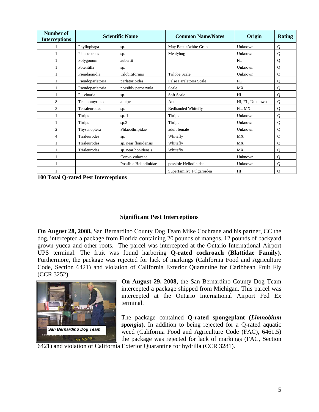| Number of<br><b>Interceptions</b> | <b>Scientific Name</b> |                       | <b>Common Name/Notes</b> | Origin          | <b>Rating</b> |
|-----------------------------------|------------------------|-----------------------|--------------------------|-----------------|---------------|
|                                   | Phyllophaga            | sp.                   | May Beetle/white Grub    | Unknown         | $\Omega$      |
|                                   | Planococcus            | sp.                   | Mealybug                 | Unknown         | $\mathbf Q$   |
|                                   | Polygonum              | aubertii              |                          | FL              | $\mathbf Q$   |
|                                   | Potentilla             | sp.                   |                          | Unknown         | Q             |
|                                   | Pseudaonidia           | trilobitiformis       | <b>Trilobe Scale</b>     | Unknown         | $\mathbf Q$   |
|                                   | Pseudoparlatoria       | parlatorioides        | False Paralatoria Scale  | FL              | $\mathbf Q$   |
|                                   | Pseudoparlatoria       | possibly perparvula   | Scale                    | MX              | $\mathbf{O}$  |
|                                   | Pulvinaria             | sp.                   | Soft Scale               | HI              | $\mathbf Q$   |
| 8                                 | Technomyrmex           | albipes               | Ant                      | HI, FL, Unknown | $\mathbf{O}$  |
| 3                                 | Tetraleurodes          | sp.                   | Redbanded Whitefly       | FL, MX          | $\mathbf Q$   |
|                                   | Thrips                 | sp. $1$               | Thrips                   | Unknown         | $\mathbf Q$   |
|                                   | <b>Thrips</b>          | sp.2                  | Thrips                   | Unknown         | $\mathbf Q$   |
| 2                                 | Thysanoptera           | Phlaeothripidae       | adult female             | Unknown         | $\mathbf Q$   |
| 4                                 | <b>Trialeurodes</b>    | sp.                   | Whitefly                 | <b>MX</b>       | $\mathbf Q$   |
|                                   | Trialeurodes           | sp. near flonidensis  | Whitefly                 | MX              | $\mathbf Q$   |
|                                   | Trialeurodes           | sp. near honidensis   | Whitefly                 | MX              | $\mathbf{O}$  |
|                                   |                        | Convolvulaceae        |                          | Unknown         | $\mathbf Q$   |
|                                   |                        | Possible Heliodinidae | possible Heliodinidae    | Unknown         | Q             |
|                                   |                        |                       | Superfamily: Fulgaroidea | HI              | Q             |

**100 Total Q-rated Pest Interceptions** 

### **Significant Pest Interceptions**

**On August 28, 2008,** San Bernardino County Dog Team Mike Cochrane and his partner, CC the dog, intercepted a package from Florida containing 20 pounds of mangos, 12 pounds of backyard grown yucca and other roots. The parcel was intercepted at the Ontario International Airport UPS terminal. The fruit was found harboring **Q-rated cockroach (Blattidae Family)**. Furthermore, the package was rejected for lack of markings (California Food and Agriculture Code, Section 6421) and violation of California Exterior Quarantine for Caribbean Fruit Fly (CCR 3252).



**On August 29, 2008,** the San Bernardino County Dog Team intercepted a package shipped from Michigan. This parcel was intercepted at the Ontario International Airport Fed Ex terminal.

The package contained **Q-rated spongeplant (***Limnobium spongia***)**. In addition to being rejected for a Q-rated aquatic weed (California Food and Agriculture Code (FAC), 6461.5) the package was rejected for lack of markings (FAC, Section

6421) and violation of California Exterior Quarantine for hydrilla (CCR 3281).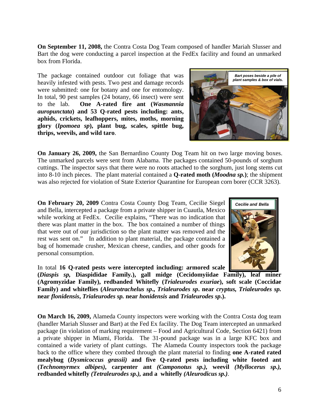**On September 11, 2008,** the Contra Costa Dog Team composed of handler Mariah Slusser and Bart the dog were conducting a parcel inspection at the FedEx facility and found an unmarked box from Florida.

The package contained outdoor cut foliage that was heavily infested with pests. Two pest and damage records were submitted: one for botany and one for entomology. In total, 90 pest samples (24 botany, 66 insect) were sent to the lab. **One A-rated fire ant (***Wasmannia auropunctata***) and 53 Q-rated pests including: ants, aphids, crickets, leafhoppers, mites, moths, morning glory (***Ipomoea sp***), plant bug, scales, spittle bug, thrips, weevils, and wild taro**.

**On January 26, 2009,** the San Bernardino County Dog Team hit on two large moving boxes. The unmarked parcels were sent from Alabama. The packages contained 50-pounds of sorghum cuttings. The inspector says that there were no roots attached to the sorghum, just long stems cut into 8-10 inch pieces. The plant material contained a **Q-rated moth (***Moodna sp.***)**; the shipment was also rejected for violation of State Exterior Quarantine for European corn borer (CCR 3263).

**On February 20, 2009** Contra Costa County Dog Team, Cecilie Siegel and Bella, intercepted a package from a private shipper in Cuautla, Mexico while working at FedEx. Cecilie explains, "There was no indication that there was plant matter in the box. The box contained a number of things that were out of our jurisdiction so the plant matter was removed and the rest was sent on." In addition to plant material, the package contained a bag of homemade crusher, Mexican cheese, candies, and other goods for personal consumption.

In total **16 Q-rated pests were intercepted including: armored scale** 

**(***Diaspis sp,* **Diaspididae Family***.***), gall midge (Cecidomyiidae Family), leaf miner (Agromyzidae Family), redbanded Whitefly (***Trialeurodes exuriae***), soft scale (Coccidae Family) and whiteflies (***Aleurotrachelus sp***.,** *Trialeurodes sp***. near** *cryptus, Trialeurodes sp.* **near** *flonidensis***,** *Trialeurodes sp.* **near** *honidensis* **and** *Trialeurodes sp***.).**

**On March 16, 2009,** Alameda County inspectors were working with the Contra Costa dog team (handler Mariah Slusser and Bart) at the Fed Ex facility. The Dog Team intercepted an unmarked package (in violation of marking requirement – Food and Agricultural Code, Section 6421) from a private shipper in Miami, Florida. The 31-pound package was in a large KFC box and contained a wide variety of plant cuttings. The Alameda County inspectors took the package back to the office where they combed through the plant material to finding **one A-rated rated mealybug (***Dysmicoccus grassii)* **and five Q-rated pests including white footed ant (***Technomyrmex albipes),* **carpenter ant** *(Camponotus sp.),* **weevil** *(Myllocerus sp.),*  **redbanded whitefly** *(Tetraleurodes sp.),* **and a whitefly** *(Aleurodicus sp.).* 



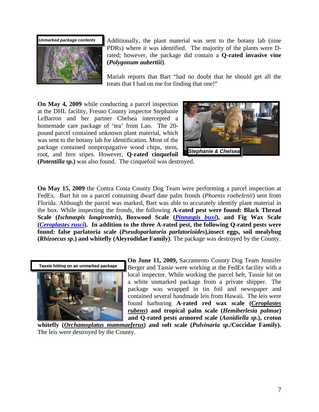

Additionally, the plant material was sent to the botany lab (nine PDRs) where it was identified. The majority of the plants were Drated; however, the package did contain a **Q-rated invasive vine (***Polygonum aubertiii***)**.

Mariah reports that Bart "had no doubt that he should get all the treats that I had on me for finding that one!" *Bundles of plant cuttings* 

**On May 4, 2009** while conducting a parcel inspection at the DHL facility, Fresno County inspector Stephanie LeBarron and her partner Chelsea intercepted a homemade care package of 'tea' from Lao. The 20 pound parcel contained unknown plant material, which was sent to the botany lab for identification. Most of the package contained nonpropagative wood chips, stem, root, and fern stipes. However, **Q-rated cinquefoil** 



**(***Potentilla sp.***)** was also found. The cinquefoil was destroyed.

**On May 15, 2009** the Contra Costa County Dog Team were performing a parcel inspection at FedEx. Bart hit on a parcel containing dwarf date palm fronds (*Phoenix roebelenii*) sent from Florida. Although the parcel was marked, Bart was able to accurately identify plant material in the box. While inspecting the fronds, the following **A-rated pest were found: Black Thread Scale (***Ischnaspis longirostris***), Boxwood Scale (***Pinnaspis buxi***), and Fig Wax Scale (***Ceroplastes rusci***). In addition to the three A-rated pest, the following Q-rated pests were found: false parlatoria scale (***Pseudoparlatoria parlatorioides***),insect eggs, soil mealybug (***Rhizoecus sp***.) and whitefly (Aleyrodidae Family)**. The package was destroyed by the County.



**On June 11, 2009,** Sacramento County Dog Team Jennifer Berger and Tassie were working at the FedEx facility with a local inspector. While working the parcel belt, Tassie hit on a white unmarked package from a private shipper. The package was wrapped in tin foil and newspaper and contained several handmade leis from Hawaii. The leis were found harboring **A-rated red wax scale (***Ceroplastes rubens***) and tropical palm scale (***Hemiberlesia palmae***) and Q-rated pests armored scale (***Aonidiella sp***.), croton** 

**whitefly (***Orchamoplatus mammaeferus***) and soft scale (***Pulvinaria sp***./Coccidae Family).** The leis were destroyed by the County.